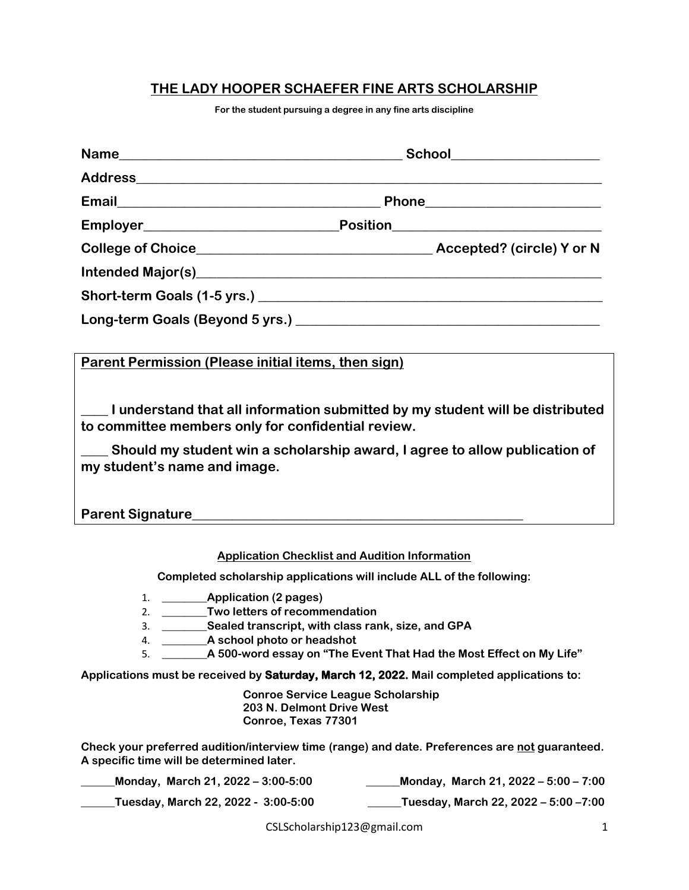## **THE LADY HOOPER SCHAEFER FINE ARTS SCHOLARSHIP**

**For the student pursuing a degree in any fine arts discipline**

| Parent Permission (Please initial items, then sign) |                                                                                  |
|-----------------------------------------------------|----------------------------------------------------------------------------------|
| to committee members only for confidential review.  | __ I understand that all information submitted by my student will be distributed |
| my student's name and image.                        | Should my student win a scholarship award, I agree to allow publication of       |
|                                                     |                                                                                  |
|                                                     | <b>Application Checklist and Audition Information</b>                            |
|                                                     | Completed scholarship applications will include ALL of the following:            |
|                                                     |                                                                                  |

- 1. **\_\_\_\_\_\_\_\_Application (2 pages)**
- 2. **\_\_\_\_\_\_\_\_Two letters of recommendation**
- 3. **\_\_\_\_\_\_\_\_Sealed transcript, with class rank, size, and GPA**
- 4. **\_\_\_\_\_\_\_\_A school photo or headshot**
- 5. **\_\_\_\_\_\_\_\_A 500-word essay on "The Event That Had the Most Effect on My Life"**

**Applications must be received by Saturday, March 12, 2022. Mail completed applications to:**

**Conroe Service League Scholarship 203 N. Delmont Drive West Conroe, Texas 77301**

**Check your preferred audition/interview time (range) and date. Preferences are not guaranteed. A specific time will be determined later.**

| Monday, March 21, 2022 – 3:00-5:00  | Monday, March 21, 2022 - 5:00 - 7:00 |
|-------------------------------------|--------------------------------------|
| Tuesday, March 22, 2022 - 3:00-5:00 | Tuesday, March 22, 2022 - 5:00 -7:00 |

CSLScholarship123@gmail.com 1